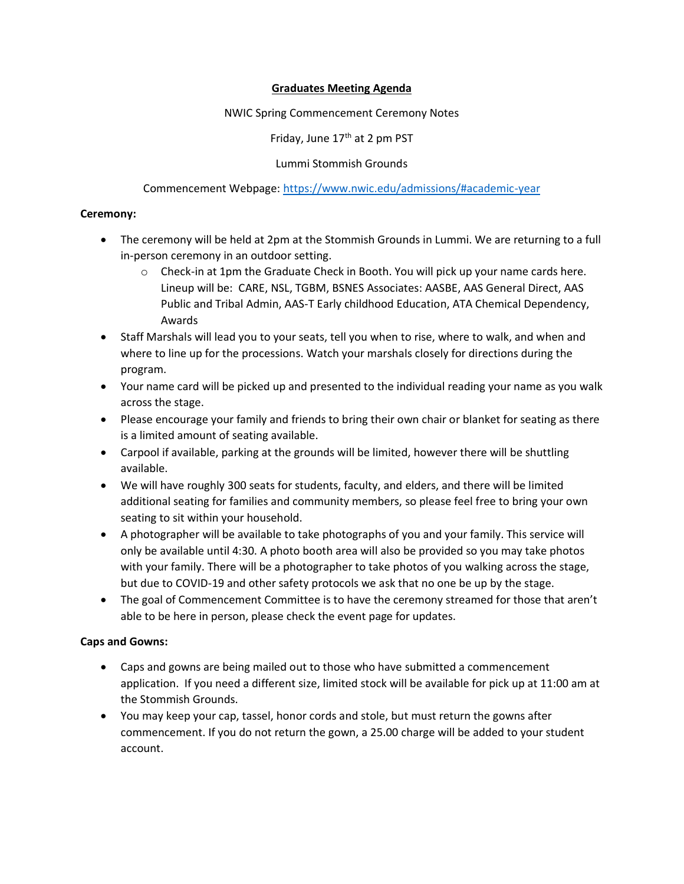# **Graduates Meeting Agenda**

### NWIC Spring Commencement Ceremony Notes

Friday, June 17<sup>th</sup> at 2 pm PST

# Lummi Stommish Grounds

## Commencement Webpage:<https://www.nwic.edu/admissions/#academic-year>

## **Ceremony:**

- The ceremony will be held at 2pm at the Stommish Grounds in Lummi. We are returning to a full in-person ceremony in an outdoor setting.
	- $\circ$  Check-in at 1pm the Graduate Check in Booth. You will pick up your name cards here. Lineup will be: CARE, NSL, TGBM, BSNES Associates: AASBE, AAS General Direct, AAS Public and Tribal Admin, AAS-T Early childhood Education, ATA Chemical Dependency, Awards
- Staff Marshals will lead you to your seats, tell you when to rise, where to walk, and when and where to line up for the processions. Watch your marshals closely for directions during the program.
- Your name card will be picked up and presented to the individual reading your name as you walk across the stage.
- Please encourage your family and friends to bring their own chair or blanket for seating as there is a limited amount of seating available.
- Carpool if available, parking at the grounds will be limited, however there will be shuttling available.
- We will have roughly 300 seats for students, faculty, and elders, and there will be limited additional seating for families and community members, so please feel free to bring your own seating to sit within your household.
- A photographer will be available to take photographs of you and your family. This service will only be available until 4:30. A photo booth area will also be provided so you may take photos with your family. There will be a photographer to take photos of you walking across the stage, but due to COVID-19 and other safety protocols we ask that no one be up by the stage.
- The goal of Commencement Committee is to have the ceremony streamed for those that aren't able to be here in person, please check the event page for updates.

# **Caps and Gowns:**

- Caps and gowns are being mailed out to those who have submitted a commencement application. If you need a different size, limited stock will be available for pick up at 11:00 am at the Stommish Grounds.
- You may keep your cap, tassel, honor cords and stole, but must return the gowns after commencement. If you do not return the gown, a 25.00 charge will be added to your student account.